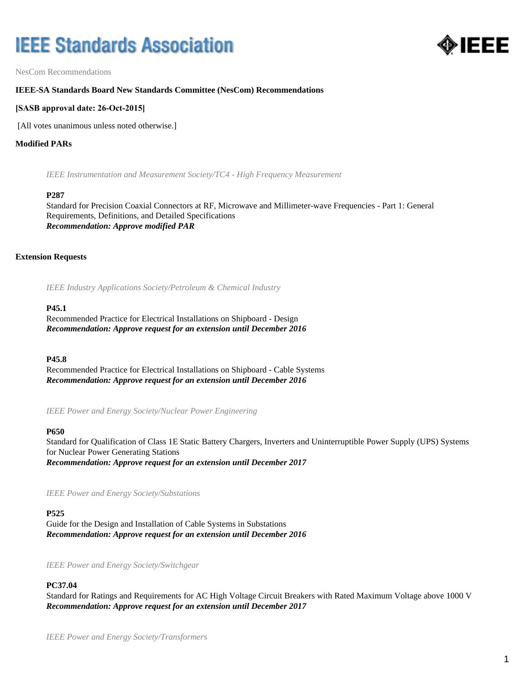# **IEEE Standards Association**



NesCom Recommendations

# **IEEE-SA Standards Board New Standards Committee (NesCom) Recommendations**

# **[SASB approval date: 26-Oct-2015]**

[All votes unanimous unless noted otherwise.]

## **Modified PARs**

*IEEE Instrumentation and Measurement Society/TC4 - High Frequency Measurement*

## **P287**

Standard for Precision Coaxial Connectors at RF, Microwave and Millimeter-wave Frequencies - Part 1: General Requirements, Definitions, and Detailed Specifications *Recommendation: Approve modified PAR*

## **Extension Requests**

*IEEE Industry Applications Society/Petroleum & Chemical Industry*

#### **P45.1**

Recommended Practice for Electrical Installations on Shipboard - Design *Recommendation: Approve request for an extension until December 2016*

## **P45.8**

Recommended Practice for Electrical Installations on Shipboard - Cable Systems *Recommendation: Approve request for an extension until December 2016*

*IEEE Power and Energy Society/Nuclear Power Engineering*

## **P650**

Standard for Qualification of Class 1E Static Battery Chargers, Inverters and Uninterruptible Power Supply (UPS) Systems for Nuclear Power Generating Stations *Recommendation: Approve request for an extension until December 2017*

*IEEE Power and Energy Society/Substations*

## **P525**

Guide for the Design and Installation of Cable Systems in Substations *Recommendation: Approve request for an extension until December 2016*

*IEEE Power and Energy Society/Switchgear*

## **PC37.04**

Standard for Ratings and Requirements for AC High Voltage Circuit Breakers with Rated Maximum Voltage above 1000 V *Recommendation: Approve request for an extension until December 2017*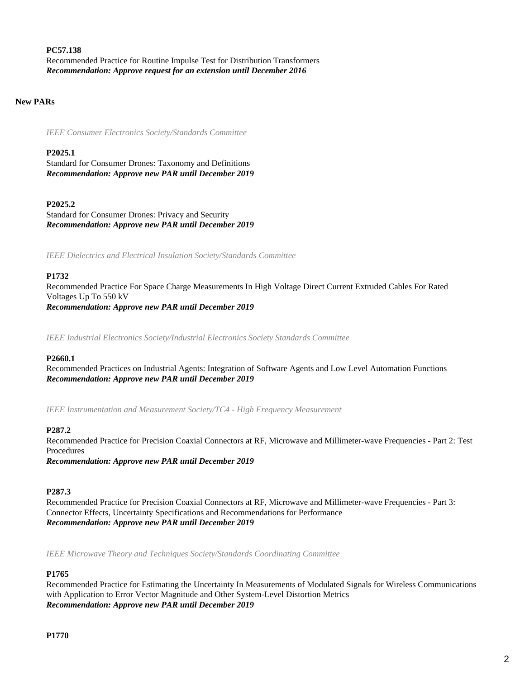**PC57.138** Recommended Practice for Routine Impulse Test for Distribution Transformers *Recommendation: Approve request for an extension until December 2016*

# **New PARs**

*IEEE Consumer Electronics Society/Standards Committee*

## **P2025.1**

Standard for Consumer Drones: Taxonomy and Definitions *Recommendation: Approve new PAR until December 2019*

## **P2025.2**

Standard for Consumer Drones: Privacy and Security *Recommendation: Approve new PAR until December 2019*

*IEEE Dielectrics and Electrical Insulation Society/Standards Committee*

#### **P1732**

Recommended Practice For Space Charge Measurements In High Voltage Direct Current Extruded Cables For Rated Voltages Up To 550 kV *Recommendation: Approve new PAR until December 2019*

*IEEE Industrial Electronics Society/Industrial Electronics Society Standards Committee*

#### **P2660.1**

Recommended Practices on Industrial Agents: Integration of Software Agents and Low Level Automation Functions *Recommendation: Approve new PAR until December 2019*

*IEEE Instrumentation and Measurement Society/TC4 - High Frequency Measurement*

## **P287.2**

Recommended Practice for Precision Coaxial Connectors at RF, Microwave and Millimeter-wave Frequencies - Part 2: Test Procedures *Recommendation: Approve new PAR until December 2019*

## **P287.3**

Recommended Practice for Precision Coaxial Connectors at RF, Microwave and Millimeter-wave Frequencies - Part 3: Connector Effects, Uncertainty Specifications and Recommendations for Performance *Recommendation: Approve new PAR until December 2019*

*IEEE Microwave Theory and Techniques Society/Standards Coordinating Committee*

## **P1765**

Recommended Practice for Estimating the Uncertainty In Measurements of Modulated Signals for Wireless Communications with Application to Error Vector Magnitude and Other System-Level Distortion Metrics *Recommendation: Approve new PAR until December 2019*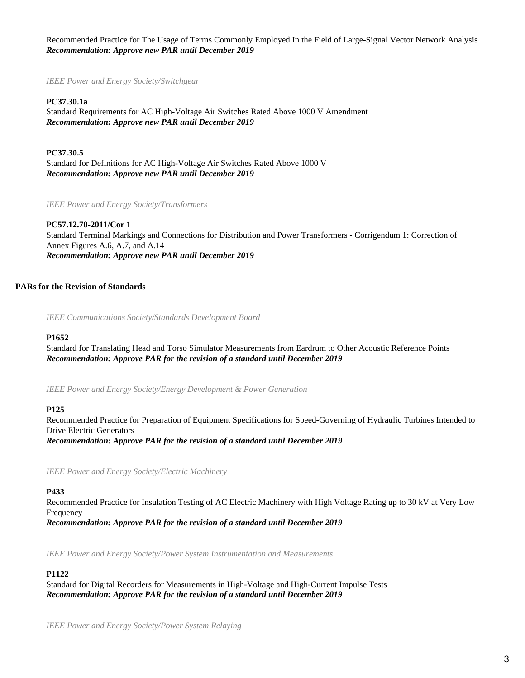Recommended Practice for The Usage of Terms Commonly Employed In the Field of Large-Signal Vector Network Analysis *Recommendation: Approve new PAR until December 2019*

*IEEE Power and Energy Society/Switchgear*

**PC37.30.1a** Standard Requirements for AC High-Voltage Air Switches Rated Above 1000 V Amendment *Recommendation: Approve new PAR until December 2019*

**PC37.30.5** Standard for Definitions for AC High-Voltage Air Switches Rated Above 1000 V *Recommendation: Approve new PAR until December 2019*

*IEEE Power and Energy Society/Transformers*

**PC57.12.70-2011/Cor 1** Standard Terminal Markings and Connections for Distribution and Power Transformers - Corrigendum 1: Correction of Annex Figures A.6, A.7, and A.14 *Recommendation: Approve new PAR until December 2019*

# **PARs for the Revision of Standards**

*IEEE Communications Society/Standards Development Board*

## **P1652**

Standard for Translating Head and Torso Simulator Measurements from Eardrum to Other Acoustic Reference Points *Recommendation: Approve PAR for the revision of a standard until December 2019*

*IEEE Power and Energy Society/Energy Development & Power Generation*

## **P125**

Recommended Practice for Preparation of Equipment Specifications for Speed-Governing of Hydraulic Turbines Intended to Drive Electric Generators *Recommendation: Approve PAR for the revision of a standard until December 2019*

*IEEE Power and Energy Society/Electric Machinery*

## **P433**

Recommended Practice for Insulation Testing of AC Electric Machinery with High Voltage Rating up to 30 kV at Very Low Frequency

*Recommendation: Approve PAR for the revision of a standard until December 2019*

*IEEE Power and Energy Society/Power System Instrumentation and Measurements*

## **P1122**

Standard for Digital Recorders for Measurements in High-Voltage and High-Current Impulse Tests *Recommendation: Approve PAR for the revision of a standard until December 2019*

*IEEE Power and Energy Society/Power System Relaying*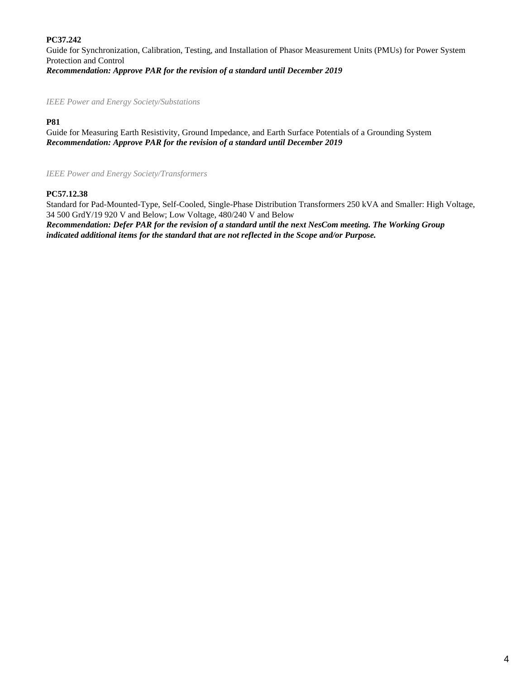# **PC37.242**

Guide for Synchronization, Calibration, Testing, and Installation of Phasor Measurement Units (PMUs) for Power System Protection and Control *Recommendation: Approve PAR for the revision of a standard until December 2019*

*IEEE Power and Energy Society/Substations*

# **P81**

Guide for Measuring Earth Resistivity, Ground Impedance, and Earth Surface Potentials of a Grounding System *Recommendation: Approve PAR for the revision of a standard until December 2019*

*IEEE Power and Energy Society/Transformers*

# **PC57.12.38**

Standard for Pad-Mounted-Type, Self-Cooled, Single-Phase Distribution Transformers 250 kVA and Smaller: High Voltage, 34 500 GrdY/19 920 V and Below; Low Voltage, 480/240 V and Below

*Recommendation: Defer PAR for the revision of a standard until the next NesCom meeting. The Working Group indicated additional items for the standard that are not reflected in the Scope and/or Purpose.*